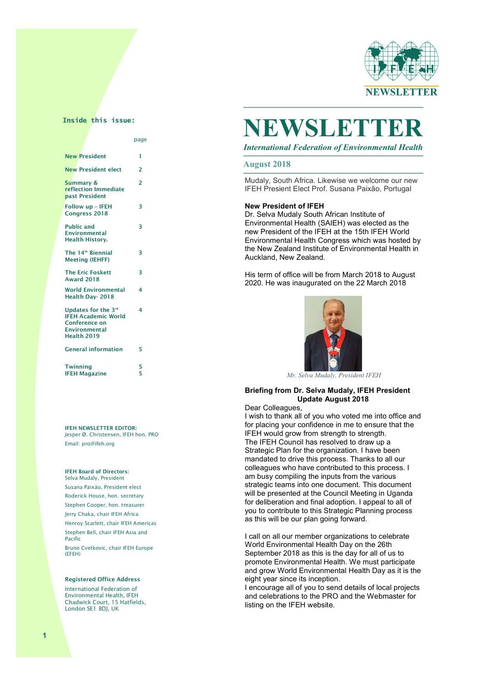

# **Inside this issue:**

|                                                                                                           | page                     |
|-----------------------------------------------------------------------------------------------------------|--------------------------|
| <b>New President</b>                                                                                      | 1                        |
| <b>New President elect</b>                                                                                | $\overline{2}$           |
| <b>Summary &amp;</b><br>reflection Immediate<br>past President                                            | $\overline{\phantom{a}}$ |
| Follow up - IFEH<br>Congress 2018                                                                         | R                        |
| <b>Public and</b><br><b>Environmental</b><br><b>Health History.</b>                                       | R                        |
| The 14 <sup>th</sup> Biennial<br><b>Meeting (IEHFF)</b>                                                   | R                        |
| <b>The Eric Foskett</b><br><b>Award 2018</b>                                                              | 3                        |
| <b>World Environmental</b><br>Health Day-2018                                                             | 4                        |
| Updates for the 3rd<br><b>IFFH Academic World</b><br>Conference on<br><b>Environmental</b><br>Health 2019 | 4                        |
| <b>General information</b>                                                                                | 5                        |
| <b>Twinning</b><br><b>IFEH Magazine</b>                                                                   | 5<br>5                   |

IFEH NEWSLETTER EDITOR: Jesper Ø. Christensen, IFEH hon. PRO Email: pro@ifeh.org

## IFEH Board of Directors:

Selva Mudaly, President Susana Paixäo, President elect Roderick House, hon. secretary Stephen Cooper, hon. treasurer Jerry Chaka, chair IFEH Africa Henroy Scarlett, chair IFEH Americas Stephen Bell, chair IFEH Asia and Pacific

Bruno Cvetkovic, chair IFEH Europe (EFEH)

#### Registered Office Address

International Federation of Environmental Health, IFEH Chadwick Court, 15 Hatfields, London SE1 8DJ, UK

# NEWSLET<sup>T</sup>

 $\overline{\phantom{a}}$ 

*International Federation of Environmental Health*

#### The IFEH welcome our new IFEH  $\sim$  100  $\pm$  100  $\pm$  100  $\pm$  100  $\pm$  100  $\pm$ **August 2018**

Mudaly, South Africa. Likewise we welcome our new IFEH Presient Elect Prof. Susana Paixão, Portugal

## **New President of IFEH**

Dr. Selva Mudaly South African Institute of Environmental Health (SAIEH) was elected as the new President of the IFEH at the 15th IFEH World Environmental Health Congress which was hosted by the New Zealand Institute of Environmental Health in Auckland, New Zealand.

His term of office will be from March 2018 to August 2020. He was inaugurated on the 22 March 2018



 *Mr. Selva Mudaly, President IFEH*

## **Briefing from Dr. Selva Mudaly, IFEH President Update August 2018**

Dear Colleagues,

I wish to thank all of you who voted me into office and for placing your confidence in me to ensure that the IFEH would grow from strength to strength. The IFEH Council has resolved to draw up a Strategic Plan for the organization. I have been mandated to drive this process. Thanks to all our colleagues who have contributed to this process. I am busy compiling the inputs from the various strategic teams into one document. This document will be presented at the Council Meeting in Uganda for deliberation and final adoption. I appeal to all of you to contribute to this Strategic Planning process as this will be our plan going forward.

I call on all our member organizations to celebrate World Environmental Health Day on the 26th September 2018 as this is the day for all of us to promote Environmental Health. We must participate and grow World Environmental Health Day as it is the eight year since its inception.

I encourage all of you to send details of local projects and celebrations to the PRO and the Webmaster for listing on the IFEH website.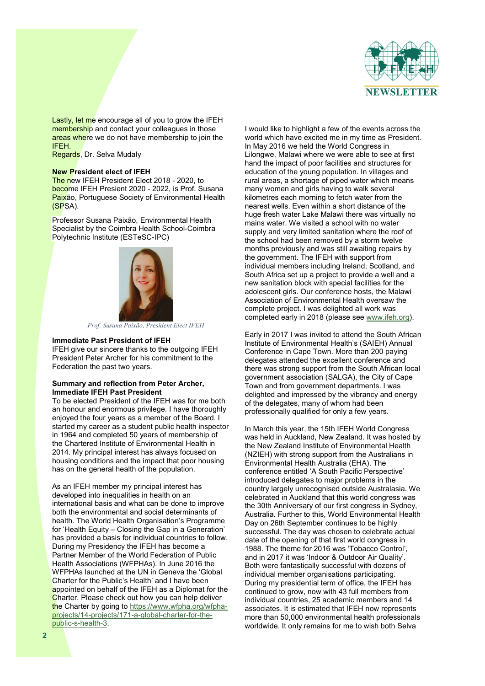

Lastly, let me encourage all of you to grow the IFEH membership and contact your colleagues in those areas where we do not have membership to join the IFEH.

Regards, Dr. Selva Mudaly

## **New President elect of IFEH**

The new IFEH President Elect 2018 - 2020, to become IFEH Presient 2020 - 2022, is Prof. Susana Paixão, Portuguese Society of Environmental Health (SPSA).

Professor Susana Paixão, Environmental Health Specialist by the Coimbra Health School-Coimbra Polytechnic Institute (ESTeSC-IPC)



*Prof. Susana Paixão, President Elect IFEH*

#### **Immediate Past President of IFEH**

IFEH give our sincere thanks to the outgoing IFEH President Peter Archer for his commitment to the Federation the past two years.

## **Summary and reflection from Peter Archer, Immediate IFEH Past President**

To be elected President of the IFEH was for me both an honour and enormous privilege. I have thoroughly enjoyed the four years as a member of the Board. I started my career as a student public health inspector in 1964 and completed 50 years of membership of the Chartered Institute of Environmental Health in 2014. My principal interest has always focused on housing conditions and the impact that poor housing has on the general health of the population.

As an IFEH member my principal interest has developed into inequalities in health on an international basis and what can be done to improve both the environmental and social determinants of health. The World Health Organisation's Programme for 'Health Equity – Closing the Gap in a Generation' has provided a basis for individual countries to follow. During my Presidency the IFEH has become a Partner Member of the World Federation of Public Health Associations (WFPHAs). In June 2016 the WFPHAs launched at the UN in Geneva the 'Global Charter for the Public's Health' and I have been appointed on behalf of the IFEH as a Diplomat for the Charter. Please check out how you can help deliver the Charter by going to https://www.wfpha.org/wfphaprojects/14-projects/171-a-global-charter-for-thepublic-s-health-3.

I would like to highlight a few of the events across the world which have excited me in my time as President. In May 2016 we held the World Congress in Lilongwe, Malawi where we were able to see at first hand the impact of poor facilities and structures for education of the young population. In villages and rural areas, a shortage of piped water which means many women and girls having to walk several kilometres each morning to fetch water from the nearest wells. Even within a short distance of the huge fresh water Lake Malawi there was virtually no mains water. We visited a school with no water supply and very limited sanitation where the roof of the school had been removed by a storm twelve months previously and was still awaiting repairs by the government. The IFEH with support from individual members including Ireland, Scotland, and South Africa set up a project to provide a well and a new sanitation block with special facilities for the adolescent girls. Our conference hosts, the Malawi Association of Environmental Health oversaw the complete project. I was delighted all work was completed early in 2018 (please see www.ifeh.org).

Early in 2017 I was invited to attend the South African Institute of Environmental Health's (SAIEH) Annual Conference in Cape Town. More than 200 paying delegates attended the excellent conference and there was strong support from the South African local government association (SALGA), the City of Cape Town and from government departments. I was delighted and impressed by the vibrancy and energy of the delegates, many of whom had been professionally qualified for only a few years.

In March this year, the 15th IFEH World Congress was held in Auckland, New Zealand. It was hosted by the New Zealand Institute of Environmental Health (NZIEH) with strong support from the Australians in Environmental Health Australia (EHA). The conference entitled 'A South Pacific Perspective' introduced delegates to major problems in the country largely unrecognised outside Australasia. We celebrated in Auckland that this world congress was the 30th Anniversary of our first congress in Sydney, Australia. Further to this, World Environmental Health Day on 26th September continues to be highly successful. The day was chosen to celebrate actual date of the opening of that first world congress in 1988. The theme for 2016 was 'Tobacco Control', and in 2017 it was 'Indoor & Outdoor Air Quality'. Both were fantastically successful with dozens of individual member organisations participating. During my presidential term of office, the IFEH has continued to grow, now with 43 full members from individual countries, 25 academic members and 14 associates. It is estimated that IFEH now represents more than 50,000 environmental health professionals worldwide. It only remains for me to wish both Selva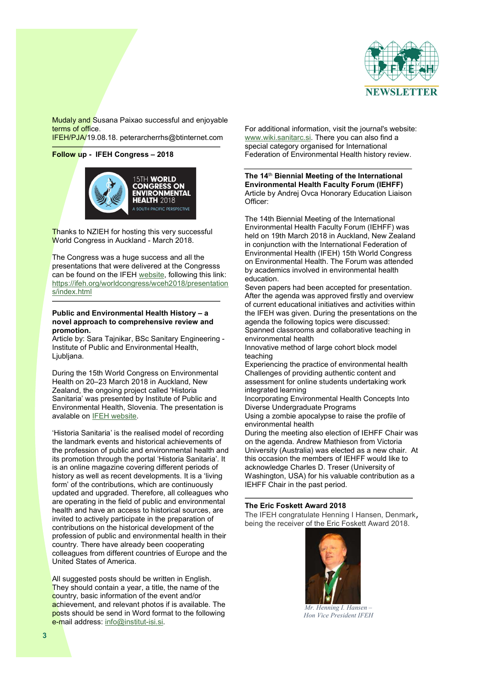

Mudaly and Susana Paixao successful and enjoyable terms of office.

IFEH/PJA/19.08.18. peterarcherrhs@btinternet.com

## **Follow up - IFEH Congress – 2018**



Thanks to NZIEH for hosting this very successful World Congress in Auckland - March 2018.

The Congress was a huge success and all the presentations that were delivered at the Congresss can be found on the IFEH website, following this link: https://ifeh.org/worldcongress/wceh2018/presentation s/index.html

## **Public and Environmental Health History – a novel approach to comprehensive review and promotion.**

Article by: Sara Tajnikar, BSc Sanitary Engineering - Institute of Public and Environmental Health, Ljubljana.

During the 15th World Congress on Environmental Health on 20–23 March 2018 in Auckland, New Zealand, the ongoing project called 'Historia Sanitaria' was presented by Institute of Public and Environmental Health, Slovenia. The presentation is avalable on IFEH website.

'Historia Sanitaria' is the realised model of recording the landmark events and historical achievements of the profession of public and environmental health and its promotion through the portal 'Historia Sanitaria'. It is an online magazine covering different periods of history as well as recent developments. It is a 'living form' of the contributions, which are continuously updated and upgraded. Therefore, all colleagues who are operating in the field of public and environmental health and have an access to historical sources, are invited to actively participate in the preparation of contributions on the historical development of the profession of public and environmental health in their country. There have already been cooperating colleagues from different countries of Europe and the United States of America.

All suggested posts should be written in English. They should contain a year, a title, the name of the country, basic information of the event and/or achievement, and relevant photos if is available. The posts should be send in Word format to the following e-mail address: info@institut-isi.si.

For additional information, visit the journal's website: www.wiki.sanitarc.si. There you can also find a special category organised for International Federation of Environmental Health history review.

**The 14**th **Biennial Meeting of the International Environmental Health Faculty Forum (IEHFF)**  Article by Andrej Ovca Honorary Education Liaison Officer:

The 14th Biennial Meeting of the International Environmental Health Faculty Forum (IEHFF) was held on 19th March 2018 in Auckland, New Zealand in conjunction with the International Federation of Environmental Health (IFEH) 15th World Congress on Environmental Health. The Forum was attended by academics involved in environmental health education.

Seven papers had been accepted for presentation. After the agenda was approved firstly and overview of current educational initiatives and activities within the IFEH was given. During the presentations on the agenda the following topics were discussed: Spanned classrooms and collaborative teaching in

environmental health

Innovative method of large cohort block model teaching

Experiencing the practice of environmental health Challenges of providing authentic content and assessment for online students undertaking work integrated learning

Incorporating Environmental Health Concepts Into Diverse Undergraduate Programs

Using a zombie apocalypse to raise the profile of environmental health

During the meeting also election of IEHFF Chair was on the agenda. Andrew Mathieson from Victoria University (Australia) was elected as a new chair. At this occasion the members of IEHFF would like to acknowledge Charles D. Treser (University of Washington, USA) for his valuable contribution as a IEHFF Chair in the past period.

## **The Eric Foskett Award 2018**

The IFEH congratulate Henning I Hansen, Denmark, being the receiver of the Eric Foskett Award 2018.



*Mr. Henning I. Hansen – Hon Vice President IFEH*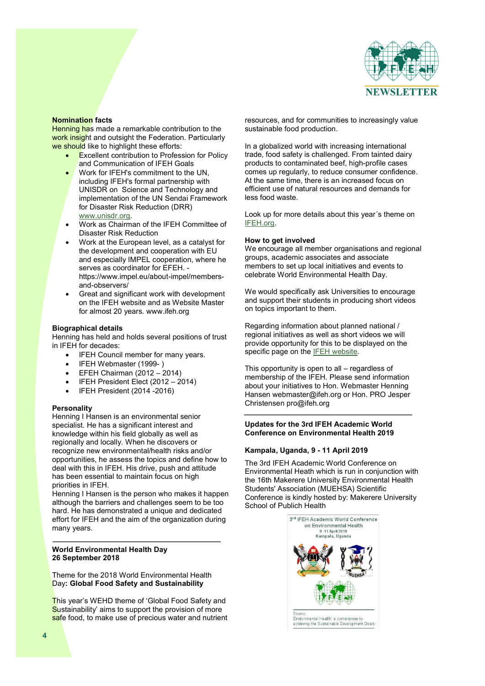

## **Nomination facts**

**Henning has made a remarkable contribution to the** work insight and outsight the Federation. Particularly we should like to highlight these efforts:

- x Excellent contribution to Profession for Policy and Communication of IFEH Goals
- Work for IFEH's commitment to the UN. including IFEH's formal partnership with UNISDR on Science and Technology and implementation of the UN Sendai Framework for Disaster Risk Reduction (DRR) www.unisdr.org.
- Work as Chairman of the IFEH Committee of Disaster Risk Reduction
- Work at the European level, as a catalyst for the development and cooperation with EU and especially IMPEL cooperation, where he serves as coordinator for EFEH. https://www.impel.eu/about-impel/membersand-observers/
- Great and significant work with development on the IFEH website and as Website Master for almost 20 years. www.ifeh.org

## **Biographical details**

Henning has held and holds several positions of trust in IFEH for decades:

- IFEH Council member for many years.
- IFEH Webmaster (1999-)
- x EFEH Chairman (2012 2014)
- IFEH President Elect (2012 2014)
- IFEH President (2014 -2016)

## **Personality**

Henning I Hansen is an environmental senior specialist. He has a significant interest and knowledge within his field globally as well as regionally and locally. When he discovers or recognize new environmental/health risks and/or opportunities, he assess the topics and define how to deal with this in IFEH. His drive, push and attitude has been essential to maintain focus on high priorities in IFEH.

Henning I Hansen is the person who makes it happen although the barriers and challenges seem to be too hard. He has demonstrated a unique and dedicated effort for IFEH and the aim of the organization during many years.

## **World Environmental Health Day 26 September 2018**

Theme for the 2018 World Environmental Health Day**: Global Food Safety and Sustainability**

This year's WEHD theme of 'Global Food Safety and Sustainability' aims to support the provision of more safe food, to make use of precious water and nutrient resources, and for communities to increasingly value sustainable food production.

In a globalized world with increasing international trade, food safety is challenged. From tainted dairy products to contaminated beef, high-profile cases comes up regularly, to reduce consumer confidence. At the same time, there is an increased focus on efficient use of natural resources and demands for less food waste.

Look up for more details about this year´s theme on IFEH.org.

## **How to get involved**

We encourage all member organisations and regional groups, academic associates and associate members to set up local initiatives and events to celebrate World Environmental Health Day.

We would specifically ask Universities to encourage and support their students in producing short videos on topics important to them.

Regarding information about planned national / regional initiatives as well as short videos we will provide opportunity for this to be displayed on the specific page on the IFEH website.

This opportunity is open to all – regardless of membership of the IFEH. Please send information about your initiatives to Hon. Webmaster Henning Hansen webmaster@ifeh.org or Hon. PRO Jesper Christensen pro@ifeh.org

## **Updates for the 3rd IFEH Academic World Conference on Environmental Health 2019**

## **Kampala, Uganda, 9 - 11 April 2019**

The 3rd IFEH Academic World Conference on Environmental Heath which is run in conjunction with the 16th Makerere University Environmental Health Students' Association (MUEHSA) Scientific Conference is kindly hosted by: Makerere University School of Publich Health